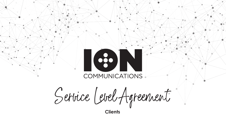

**Service Level Agreement**

# **COMMUNICATIONS**

**Clients**

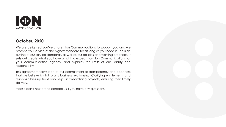

# **October, 2020**

We are delighted you've chosen Ion Communications to support you and we promise you service of the highest standard for as long as you need it. This is an outline of our service standards, as well as our policies and working practices. It sets out clearly what you have a right to expect from Ion Communications, as your communication agency, and explains the limits of our liability and responsibility.

This agreement forms part of our commitment to transparency and openness that we believe is vital to any business relationship. Clarifying entitlements and responsibilities up front also helps in streamlining projects, ensuring their timely delivery.

Please don't hesitate to contact us if you have any questions**.**

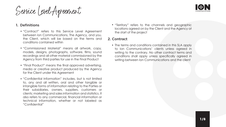

# 1. Definitions

- "Contract" refers to this Service Level Agreement between Ion Communications, The Agency, and you, the Client, which will be based on the terms and conditions contained within
- "Commissioned Material" means all artwork, copy, models, designs, photographs, software, films, sound recordings and all other material commissioned by the Agency from third parties for use in the Final Product
- "Final Product" means the final approved advertising, media or creative product produced by the Agency for the Client under this Agreement
- "Confidential Information" includes, but is not limited to, any and all written, oral and other tangible or intangible forms of information relating to the Parties or their subsidiaries, owners, suppliers, customers or clients; marketing and sales information and statistics. It also refers to any commercial, financial information or technical information, whether or not labeled as "Confidential"



"Territory" refers to the channels and geographic locations agreed on by the Client and the Agency at the start of the project

# 2. Contract

• The terms and conditions contained in this SLA apply to Ion Communications' clients unless agreed in writing to the contrary. No other contract terms and conditions shall apply unless specifically agreed in writing between Ion Communications and the client

**Service Level Agreement**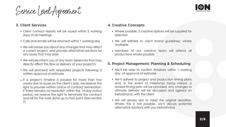

- Client contact reports will be issued within 2 working days of all meetings
- Calls and emails will be returned within 1 working day
- We will advise you about any changes that may affect a current project, and provide alternative solutions for any issues that may arise
- We will pre-inform you of any team absences that may directly affect the flow or delivery of your project/s
- We will proceed with requested projects following a written approval of estimate
- If a project's timeline is paused for more than two weeks due to issues on the client's side, we reserve the right to provide written notice of contract termination. If there remains no resolution within the 14-day notice period, we reserve the right to terminate the contract and bill for the work done up to that point (See section 7)



- Where possible, 2 creative options will be supplied for selection
- We will adhere to client brand guidelines, where available
- Members of our creative team will attend all productions where possible

# 3. Client Services

# 4. Creative Concepts

#### 5. Project Management: Planning & Scheduling

- We'll be able to confirm timelines within 1 working day of approval of estimate
- We'll adhere to project and production timing plans and, in the event of milestones being missed, a revised timing plan will be provided. Any changes to ultimate delivery will be discussed and agreed on beforehand, with the client
- We will always aim to meet the original deadline. Where this is not possible, we'll discuss potential alternative solutions with you beforehand

**Service Level Agreement**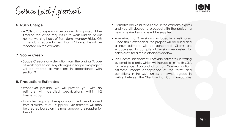## 6. Rush Charge

A 20% rush charge may be applied to a project if the timeline requested requires us to work outside of our normal working hours of 9am-5pm, Monday-Friday OR if the job is required in less than 24 hours. This will be reflected on the estimate

• Scope Creep is any deviation from the original Scope of Work agreed on. Any changes in scope mid-project will be treated as variations in accordance with section 9

#### 7. Scope Creep

#### 8. Production: Estimates

- Whenever possible, we will provide you with an estimate with detailed specifications, within 1-2 business days
- Estimates requiring third-party costs will be obtained from a minimum of 2 suppliers. Our estimate will then be created based on the most appropriate supplier for the job



- Estimates are valid for 30 days. If the estimate expires and you still decide to proceed with the project, a new or revised estimate will be supplied
- A maximum of 3 revisions is included in all estimates. Once this is exceeded, the project will be billed and a new estimate will be generated. Clients are encouraged to compile all revisions requested for each draft for a more efficient workflow
- Ion Communications will provide estimates in writing by email to clients, which will include a link to this SLA for reference. Approval of an Ion Communications estimate, means acceptance of the terms and conditions in this SLA, unless otherwise agreed in writing between the Client and Ion Communications



**Service Level Agreement**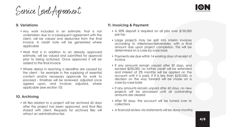

• All files related to a project will be archived 60 days after the project has been approved, and final files shared with client. Requests for archived files will attract an administrative fee



#### 9. Variations

- Any work included in an estimate, that is not undertaken due to a subsequent agreement with the client, will be valued and deducted from the final invoice. A credit note will be generated where applicable
- Work that is in addition to an already approved estimate, will be valued and submitted for approval prior to being actioned. Once approved it will be added to the final invoice
- Where delays in reaching a deadline are caused by the client - for example in the supplying of essential content and/or necessary approvals for work to proceed - timelines will be reviewed, adjusted once agreed upon, and invoices adjusted, where applicable (see section 10)

# 10. Archiving

# 11. Invoicing & Payment

- A 50% deposit is required on all jobs over \$150,000 pre-tax
- Large projects may be split into interim invoices according to milestones/deliverables, with a final amount due upon project completion. This will be determined on a case-by-case basis
- Payments are due within 14 working days of receipt of invoice
- If any amounts remain unpaid after 30 days, and exceed \$250,000, no further credit will be extended and interest of 2% monthly will be applied on the account until it is paid. If it is less than \$250,000, a decision on the way forward will be made on a case-by-case basis
- If any amounts remain unpaid after 60 days, no new projects will be processed until all outstanding amounts are cleared
- After 90 days, the account will be turned over to collections
- A financial review via statements will be done monthly

**Service Level Agreement**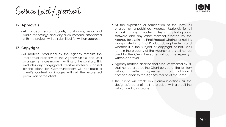

- At the expiration or termination of the Term, all unused or unpublished Agency Material, ie all artwork, copy, models, designs, photographs, software and any other material created by the Agency for use in the Final Product whether or not it is incorporated into Final Product during the Term and whether it is the subject of copyright or not, shall remain the property of the Agency and shall not be used by the Client thereafter without the Agency's written approval
- Agency material and the final product created by us, shall not be used by the Client outside of the territory without written agreement for additional compensation to the Agency for use of the same
- The client will credit Ion Communications as the designer/creator of the final product with a credit line with any editorial usage

## 12. Approvals

• All concepts, scripts, layouts, storyboards, visual and audio recordings and any such material associated with the project, will be submitted for written approval

# 13. Copyright

All material produced by the Agency remains the intellectual property of the Agency unless and until arrangements are made in writing to the contrary. This excludes any copyrighted creative material supplied by the client. Ion Communications will not reuse a client's content or images without the expressed permission of the client



**Service Level Agreement**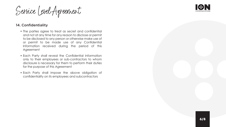

# 14. Confidentiality

- The parties agree to treat as secret and confidential and not at any time for any reason to disclose or permit to be disclosed to any person or otherwise make use of or permit to be made use of any Confidential Information received during the period of this Agreement
- Each Party shall reveal the Confidential Information only to their employees or sub-contractors to whom disclosure is necessary for them to perform their duties for the purpose of this Agreement
- Each Party shall impose the above obligation of confidentiality on its employees and subcontractors



**Service Level Agreement**